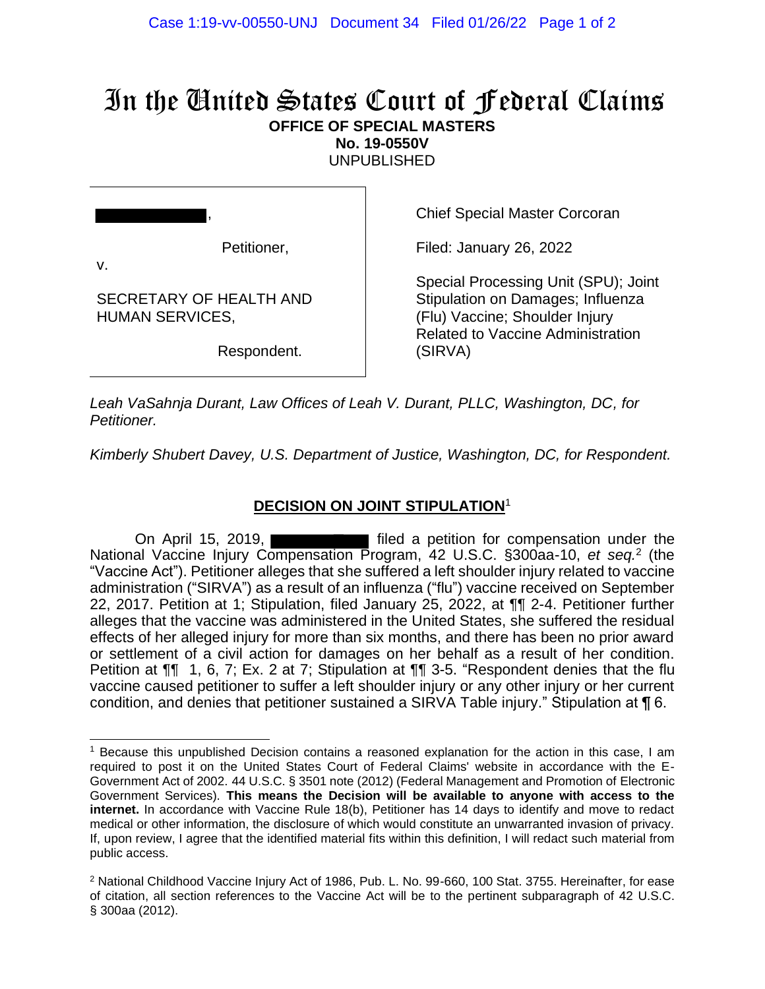## In the United States Court of Federal Claims **OFFICE OF SPECIAL MASTERS**

**No. 19-0550V**

UNPUBLISHED

Petitioner,

,

SECRETARY OF HEALTH AND

HUMAN SERVICES,

v.

Chief Special Master Corcoran

Filed: January 26, 2022

Special Processing Unit (SPU); Joint Stipulation on Damages; Influenza (Flu) Vaccine; Shoulder Injury Related to Vaccine Administration (SIRVA)

Respondent.

*Leah VaSahnja Durant, Law Offices of Leah V. Durant, PLLC, Washington, DC, for Petitioner.*

*Kimberly Shubert Davey, U.S. Department of Justice, Washington, DC, for Respondent.*

## **DECISION ON JOINT STIPULATION**<sup>1</sup>

On April 15, 2019, **Filted** a petition for compensation under the National Vaccine Injury Compensation Program, 42 U.S.C. §300aa-10, *et seq.*<sup>2</sup> (the "Vaccine Act"). Petitioner alleges that she suffered a left shoulder injury related to vaccine administration ("SIRVA") as a result of an influenza ("flu") vaccine received on September 22, 2017. Petition at 1; Stipulation, filed January 25, 2022, at ¶¶ 2-4. Petitioner further alleges that the vaccine was administered in the United States, she suffered the residual effects of her alleged injury for more than six months, and there has been no prior award or settlement of a civil action for damages on her behalf as a result of her condition. Petition at ¶¶ 1, 6, 7; Ex. 2 at 7; Stipulation at ¶¶ 3-5. "Respondent denies that the flu vaccine caused petitioner to suffer a left shoulder injury or any other injury or her current condition, and denies that petitioner sustained a SIRVA Table injury." Stipulation at ¶ 6.

<sup>&</sup>lt;sup>1</sup> Because this unpublished Decision contains a reasoned explanation for the action in this case, I am required to post it on the United States Court of Federal Claims' website in accordance with the E-Government Act of 2002. 44 U.S.C. § 3501 note (2012) (Federal Management and Promotion of Electronic Government Services). **This means the Decision will be available to anyone with access to the internet.** In accordance with Vaccine Rule 18(b), Petitioner has 14 days to identify and move to redact medical or other information, the disclosure of which would constitute an unwarranted invasion of privacy. If, upon review, I agree that the identified material fits within this definition, I will redact such material from public access.

<sup>&</sup>lt;sup>2</sup> National Childhood Vaccine Injury Act of 1986, Pub. L. No. 99-660, 100 Stat. 3755. Hereinafter, for ease of citation, all section references to the Vaccine Act will be to the pertinent subparagraph of 42 U.S.C. § 300aa (2012).